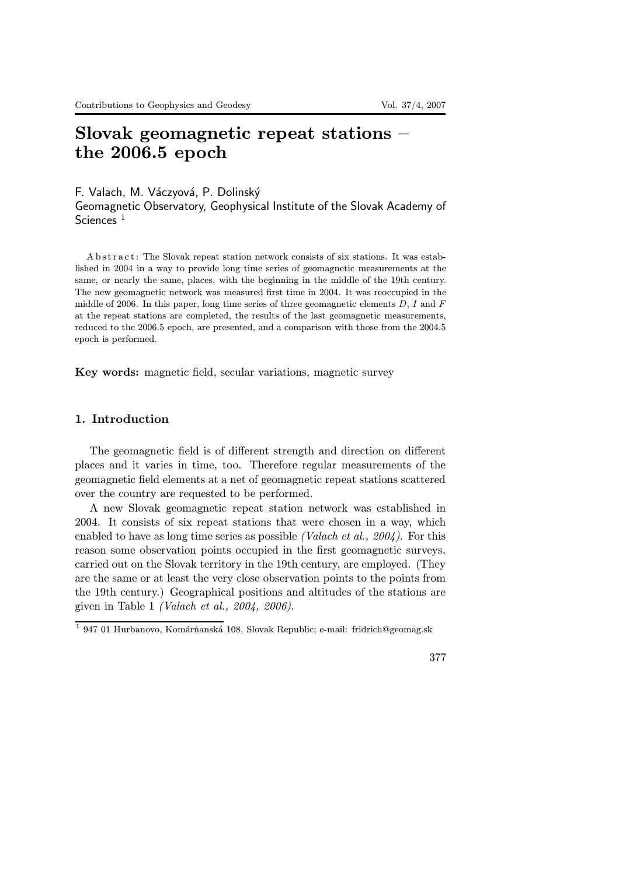# Slovak geomagnetic repeat stations – the 2006.5 epoch

F. Valach, M. Váczyová, P. Dolinský

Geomagnetic Observatory, Geophysical Institute of the Slovak Academy of Sciences<sup>1</sup>

A b stract: The Slovak repeat station network consists of six stations. It was established in 2004 in a way to provide long time series of geomagnetic measurements at the same, or nearly the same, places, with the beginning in the middle of the 19th century. The new geomagnetic network was measured first time in 2004. It was reoccupied in the middle of 2006. In this paper, long time series of three geomagnetic elements  $D, I$  and  $F$ at the repeat stations are completed, the results of the last geomagnetic measurements, reduced to the 2006.5 epoch, are presented, and a comparison with those from the 2004.5 epoch is performed.

Key words: magnetic field, secular variations, magnetic survey

#### 1. Introduction

The geomagnetic field is of different strength and direction on different places and it varies in time, too. Therefore regular measurements of the geomagnetic field elements at a net of geomagnetic repeat stations scattered over the country are requested to be performed.

A new Slovak geomagnetic repeat station network was established in 2004. It consists of six repeat stations that were chosen in a way, which enabled to have as long time series as possible *(Valach et al., 2004)*. For this reason some observation points occupied in the first geomagnetic surveys, carried out on the Slovak territory in the 19th century, are employed. (They are the same or at least the very close observation points to the points from the 19th century.) Geographical positions and altitudes of the stations are given in Table 1 (Valach et al., 2004, 2006).

 $^1$ 947 01 Hurbanovo, Komárňanská 108, Slovak Republic; e-mail: fridrich@geomag.sk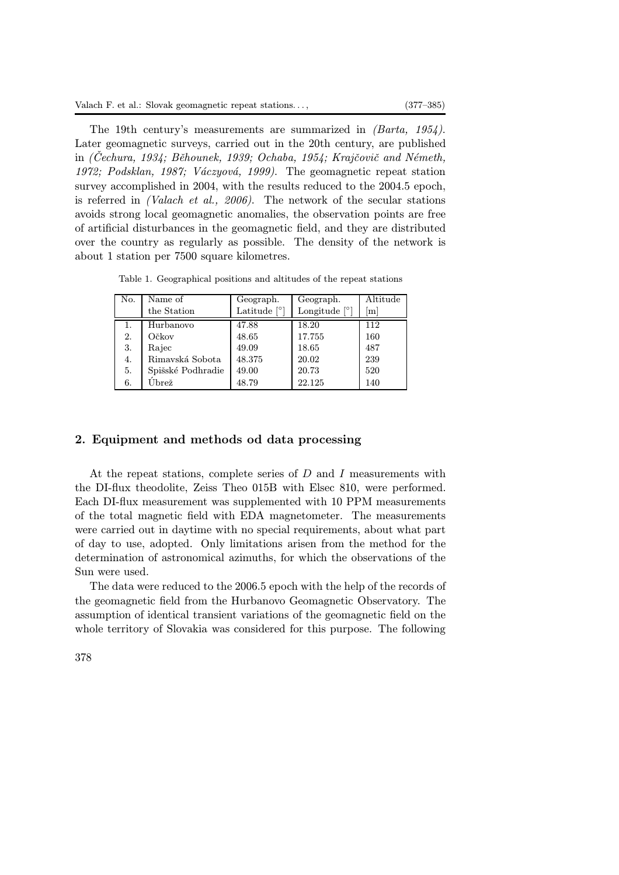The 19th century's measurements are summarized in (Barta, 1954). Later geomagnetic surveys, carried out in the 20th century, are published in (Cechura, 1934; Běhounek, 1939; Ochaba, 1954; Krajčovič and Németh, 1972; Podsklan, 1987; Váczyová, 1999). The geomagnetic repeat station survey accomplished in 2004, with the results reduced to the 2004.5 epoch, is referred in (Valach et al., 2006). The network of the secular stations avoids strong local geomagnetic anomalies, the observation points are free of artificial disturbances in the geomagnetic field, and they are distributed over the country as regularly as possible. The density of the network is about 1 station per 7500 square kilometres.

Table 1. Geographical positions and altitudes of the repeat stations

| No. | Name of           | Geograph.      | Geograph.       | Altitude |
|-----|-------------------|----------------|-----------------|----------|
|     | the Station       | Latitude $[°]$ | Longitude $[°]$ | [m]      |
|     | Hurbanovo         | 47.88          | 18.20           | 112      |
| 2.  | Očkov             | 48.65          | 17.755          | 160      |
| 3.  | Rajec             | 49.09          | 18.65           | 487      |
| 4.  | Rimavská Sobota   | 48.375         | 20.02           | 239      |
| 5.  | Spišské Podhradie | 49.00          | 20.73           | 520      |
| 6.  | $_{\rm Ubre{\z}$  | 48.79          | 22.125          | 140      |
|     |                   |                |                 |          |

## 2. Equipment and methods od data processing

At the repeat stations, complete series of D and I measurements with the DI-flux theodolite, Zeiss Theo 015B with Elsec 810, were performed. Each DI-flux measurement was supplemented with 10 PPM measurements of the total magnetic field with EDA magnetometer. The measurements were carried out in daytime with no special requirements, about what part of day to use, adopted. Only limitations arisen from the method for the determination of astronomical azimuths, for which the observations of the Sun were used.

The data were reduced to the 2006.5 epoch with the help of the records of the geomagnetic field from the Hurbanovo Geomagnetic Observatory. The assumption of identical transient variations of the geomagnetic field on the whole territory of Slovakia was considered for this purpose. The following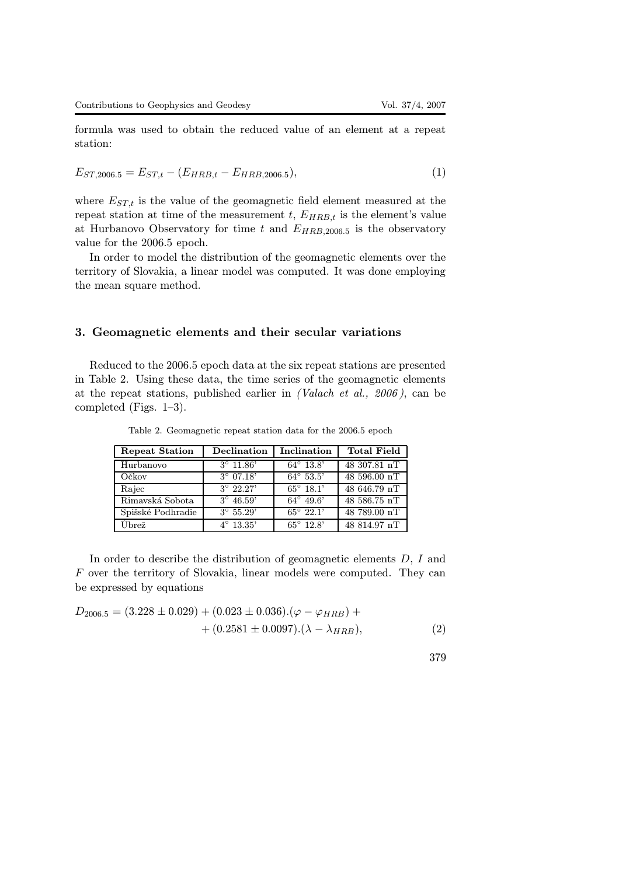formula was used to obtain the reduced value of an element at a repeat station:

$$
E_{ST,2006.5} = E_{ST,t} - (E_{HRB,t} - E_{HRB,2006.5}),
$$
\n(1)

where  $E_{ST,t}$  is the value of the geomagnetic field element measured at the repeat station at time of the measurement  $t$ ,  $E_{HRB,t}$  is the element's value at Hurbanovo Observatory for time t and  $E_{HRB,2006.5}$  is the observatory value for the 2006.5 epoch.

In order to model the distribution of the geomagnetic elements over the territory of Slovakia, a linear model was computed. It was done employing the mean square method.

#### 3. Geomagnetic elements and their secular variations

Reduced to the 2006.5 epoch data at the six repeat stations are presented in Table 2. Using these data, the time series of the geomagnetic elements at the repeat stations, published earlier in (Valach et al., 2006 ), can be completed (Figs. 1–3).

| <b>Repeat Station</b> | Declination        | Inclination        | <b>Total Field</b> |
|-----------------------|--------------------|--------------------|--------------------|
| Hurbanovo             | $3^{\circ}$ 11.86' | $64^{\circ}$ 13.8' | 48 307.81 nT       |
| Očkov                 | $3^{\circ}$ 07.18' | $64^{\circ}$ 53.5' | 48 596.00 nT       |
| Rajec                 | $3^{\circ}$ 22.27' | $65^{\circ}$ 18.1' | 48 646.79 nT       |
| Rimavská Sobota       | $3^{\circ}$ 46.59' | $64^{\circ}$ 49.6' | 48 586.75 nT       |
| Spišské Podhradie     | $3^{\circ} 55.29'$ | $65^{\circ} 22.1'$ | 48 789.00 nT       |
| Úbrež                 | $4^{\circ}$ 13.35' | $65^{\circ}$ 12.8' | 48 814.97 nT       |

Table 2. Geomagnetic repeat station data for the 2006.5 epoch

In order to describe the distribution of geomagnetic elements D, I and F over the territory of Slovakia, linear models were computed. They can be expressed by equations

$$
D_{2006.5} = (3.228 \pm 0.029) + (0.023 \pm 0.036) \cdot (\varphi - \varphi_{HRB}) + + (0.2581 \pm 0.0097) \cdot (\lambda - \lambda_{HRB}),
$$
 (2)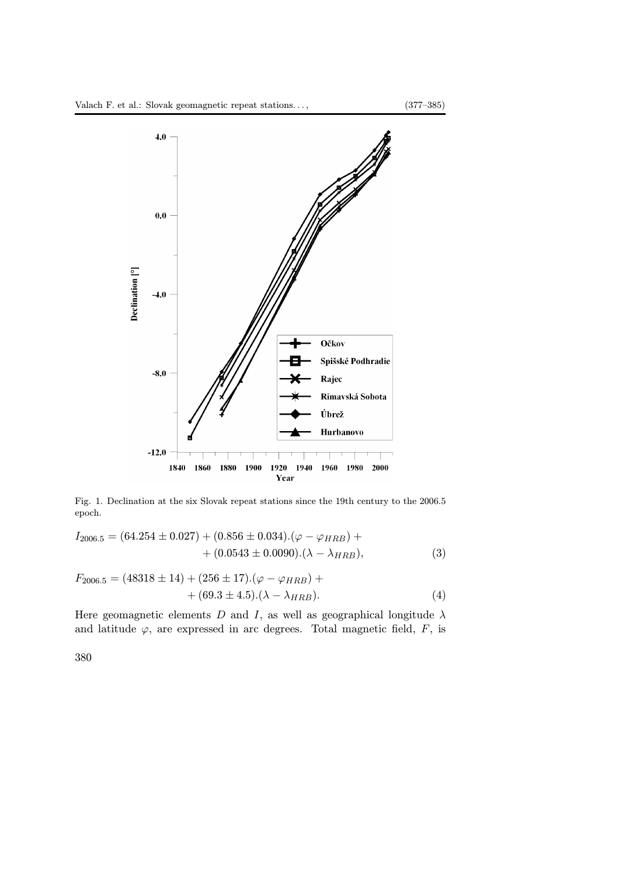

Fig. 1. Declination at the six Slovak repeat stations since the 19th century to the 2006.5 epoch.

$$
I_{2006.5} = (64.254 \pm 0.027) + (0.856 \pm 0.034).(\varphi - \varphi_{HRB}) + + (0.0543 \pm 0.0090).(\lambda - \lambda_{HRB}),
$$
\n(3)

$$
F_{2006.5} = (48318 \pm 14) + (256 \pm 17).(\varphi - \varphi_{HRB}) + + (69.3 \pm 4.5).(\lambda - \lambda_{HRB}).
$$
\n(4)

Here geomagnetic elements  $D$  and  $I,$  as well as geographical longitude  $\lambda$ and latitude  $\varphi$ , are expressed in arc degrees. Total magnetic field,  $F$ , is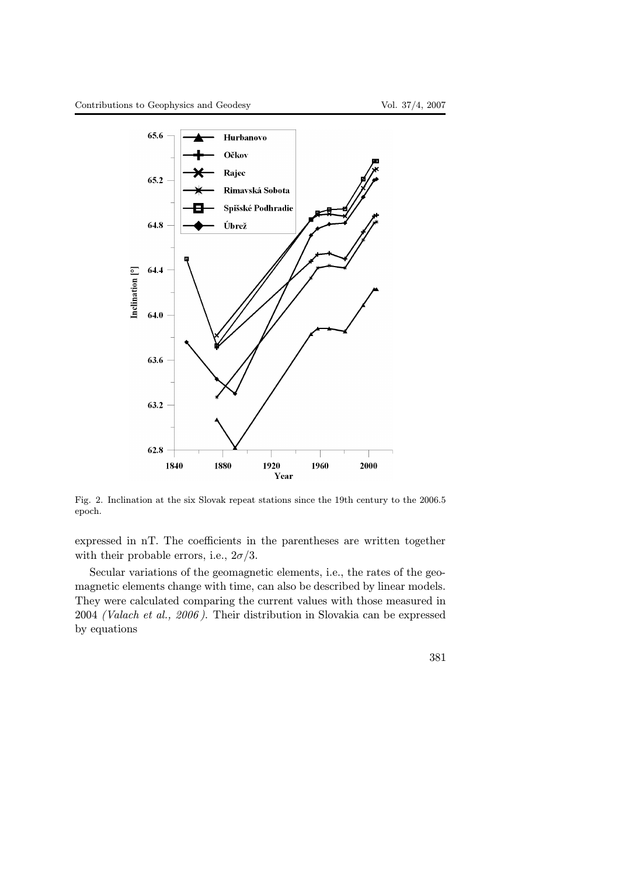

Fig. 2. Inclination at the six Slovak repeat stations since the 19th century to the 2006.5 epoch.

expressed in nT. The coefficients in the parentheses are written together with their probable errors, i.e.,  $2\sigma/3$ .

Secular variations of the geomagnetic elements, i.e., the rates of the geomagnetic elements change with time, can also be described by linear models. They were calculated comparing the current values with those measured in 2004 (Valach et al., 2006 ). Their distribution in Slovakia can be expressed by equations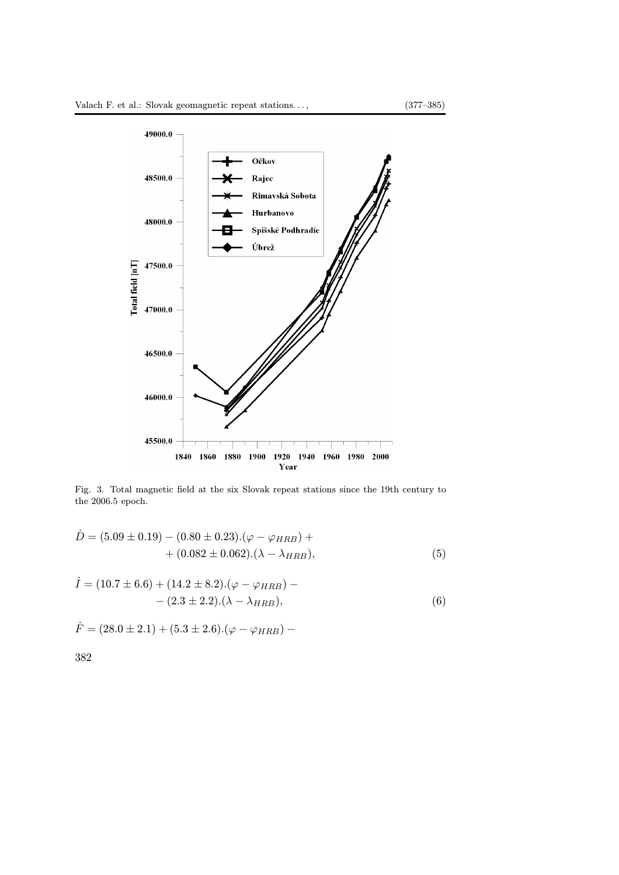

Fig. 3. Total magnetic field at the six Slovak repeat stations since the 19th century to the 2006.5 epoch.

$$
\dot{D} = (5.09 \pm 0.19) - (0.80 \pm 0.23).(\varphi - \varphi_{HRB}) + \n+ (0.082 \pm 0.062).(\lambda - \lambda_{HRB}),
$$
\n(5)

$$
\dot{I} = (10.7 \pm 6.6) + (14.2 \pm 8.2).(\varphi - \varphi_{HRB}) - (2.3 \pm 2.2).(\lambda - \lambda_{HRB}),
$$
\n(6)

$$
\dot{F} = (28.0 \pm 2.1) + (5.3 \pm 2.6).(\varphi - \varphi_{HRB}) -
$$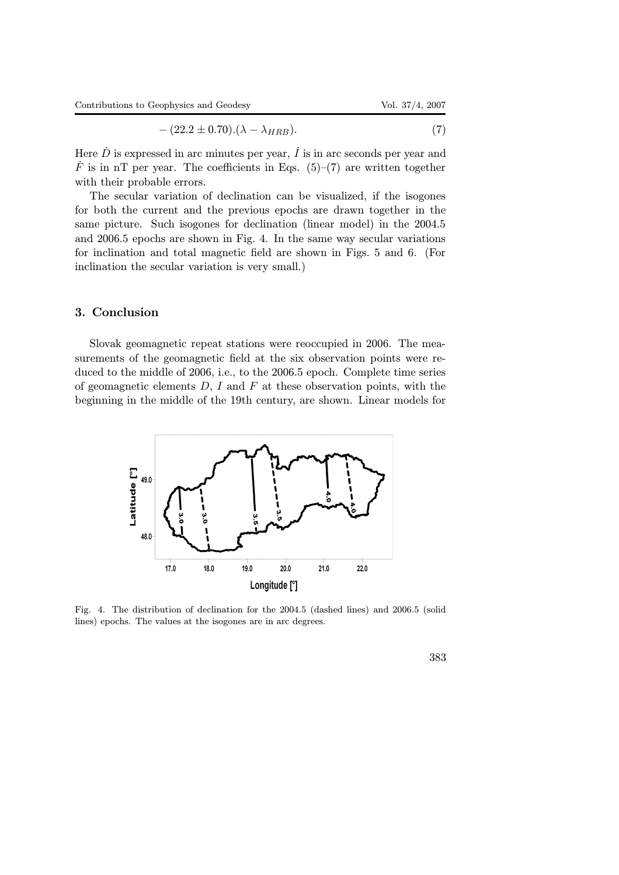$$
-(22.2 \pm 0.70).(\lambda - \lambda_{HRB}). \tag{7}
$$

Here  $\dot{D}$  is expressed in arc minutes per year,  $\dot{I}$  is in arc seconds per year and  $\dot{F}$  is in nT per year. The coefficients in Eqs. (5)–(7) are written together with their probable errors.

The secular variation of declination can be visualized, if the isogones for both the current and the previous epochs are drawn together in the same picture. Such isogones for declination (linear model) in the 2004.5 and 2006.5 epochs are shown in Fig. 4. In the same way secular variations for inclination and total magnetic field are shown in Figs. 5 and 6. (For inclination the secular variation is very small.)

### 3. Conclusion

Slovak geomagnetic repeat stations were reoccupied in 2006. The measurements of the geomagnetic field at the six observation points were reduced to the middle of 2006, i.e., to the 2006.5 epoch. Complete time series of geomagnetic elements  $D, I$  and  $F$  at these observation points, with the beginning in the middle of the 19th century, are shown. Linear models for



Fig. 4. The distribution of declination for the 2004.5 (dashed lines) and 2006.5 (solid lines) epochs. The values at the isogones are in arc degrees.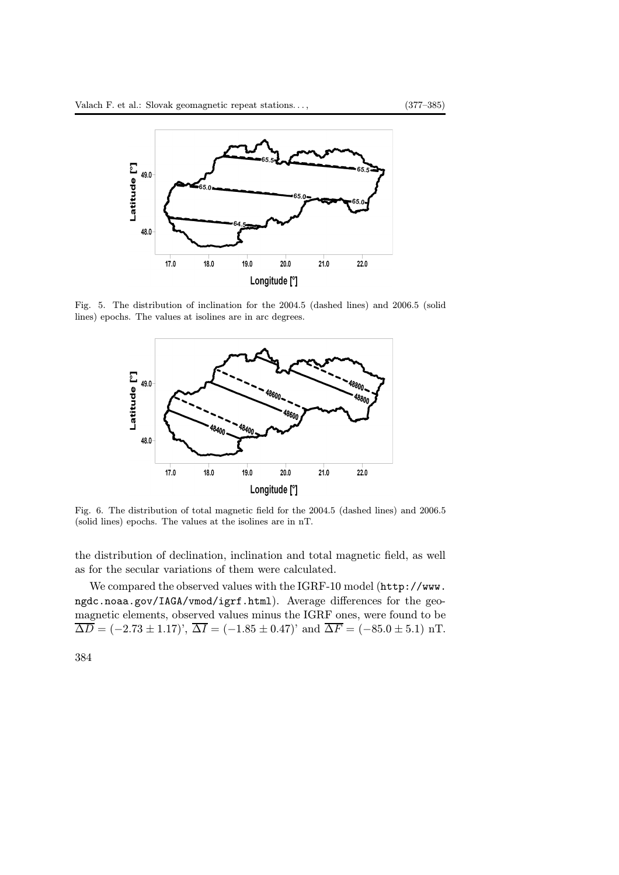

Fig. 5. The distribution of inclination for the 2004.5 (dashed lines) and 2006.5 (solid lines) epochs. The values at isolines are in arc degrees.



Fig. 6. The distribution of total magnetic field for the 2004.5 (dashed lines) and 2006.5 (solid lines) epochs. The values at the isolines are in nT.

the distribution of declination, inclination and total magnetic field, as well as for the secular variations of them were calculated.

We compared the observed values with the IGRF-10 model (http://www. ngdc.noaa.gov/IAGA/vmod/igrf.html). Average differences for the geomagnetic elements, observed values minus the IGRF ones, were found to be  $\overline{\Delta D} = (-2.73 \pm 1.17)$ ',  $\overline{\Delta I} = (-1.85 \pm 0.47)$ ' and  $\overline{\Delta F} = (-85.0 \pm 5.1)$  nT.